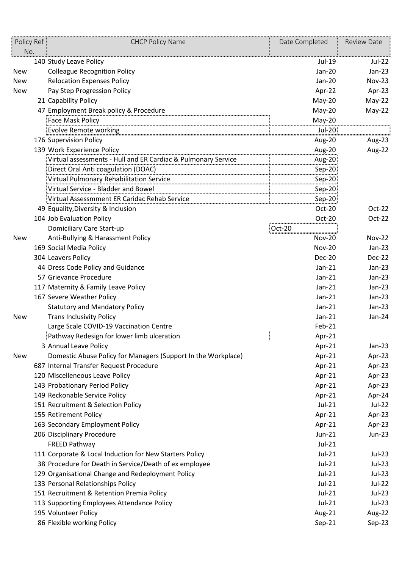| Policy Ref<br>No. | <b>CHCP Policy Name</b>                                       | Date Completed | <b>Review Date</b> |
|-------------------|---------------------------------------------------------------|----------------|--------------------|
|                   | 140 Study Leave Policy                                        | Jul-19         | Jul-22             |
| <b>New</b>        | <b>Colleague Recognition Policy</b>                           | Jan-20         | $Jan-23$           |
| <b>New</b>        | <b>Relocation Expenses Policy</b>                             | Jan-20         | Nov-23             |
| <b>New</b>        | Pay Step Progression Policy                                   | Apr-22         | Apr-23             |
|                   | 21 Capability Policy                                          | May-20         | $May-22$           |
|                   | 47 Employment Break policy & Procedure                        | May-20         | $May-22$           |
|                   | <b>Face Mask Policy</b>                                       | May-20         |                    |
|                   | <b>Evolve Remote working</b>                                  | Jul-20         |                    |
|                   | 176 Supervision Policy                                        | Aug-20         | Aug-23             |
|                   | 139 Work Experience Policy                                    | Aug-20         | Aug-22             |
|                   | Virtual assessments - Hull and ER Cardiac & Pulmonary Service | Aug-20         |                    |
|                   | Direct Oral Anti coagulation (DOAC)                           | $Sep-20$       |                    |
|                   | Virtual Pulmonary Rehabilitation Service                      | $Sep-20$       |                    |
|                   | Virtual Service - Bladder and Bowel                           | Sep-20         |                    |
|                   | Virtual Assessmment ER Caridac Rehab Service                  | $Sep-20$       |                    |
|                   | 49 Equality, Diversity & Inclusion                            | Oct-20         | Oct-22             |
|                   | 104 Job Evaluation Policy                                     | Oct-20         | Oct-22             |
|                   | Domiciliary Care Start-up                                     | Oct-20         |                    |
| New               | Anti-Bullying & Harassment Policy                             | <b>Nov-20</b>  | <b>Nov-22</b>      |
|                   | 169 Social Media Policy                                       | <b>Nov-20</b>  | $Jan-23$           |
|                   | 304 Leavers Policy                                            | Dec-20         | Dec-22             |
|                   | 44 Dress Code Policy and Guidance                             | $Jan-21$       | $Jan-23$           |
|                   | 57 Grievance Procedure                                        | $Jan-21$       | $Jan-23$           |
|                   | 117 Maternity & Family Leave Policy                           | $Jan-21$       | $Jan-23$           |
|                   | 167 Severe Weather Policy                                     | $Jan-21$       | $Jan-23$           |
|                   | <b>Statutory and Mandatory Policy</b>                         | $Jan-21$       | $Jan-23$           |
| <b>New</b>        | <b>Trans Inclusivity Policy</b>                               | $Jan-21$       | Jan-24             |
|                   | Large Scale COVID-19 Vaccination Centre                       | Feb-21         |                    |
|                   | Pathway Redesign for lower limb ulceration                    | Apr-21         |                    |
|                   | 3 Annual Leave Policy                                         | Apr-21         | $Jan-23$           |
| New               | Domestic Abuse Policy for Managers (Support In the Workplace) | Apr-21         | Apr-23             |
|                   | 687 Internal Transfer Request Procedure                       | Apr-21         | Apr-23             |
|                   | 120 Miscelleneous Leave Policy                                | Apr-21         | Apr-23             |
|                   | 143 Probationary Period Policy                                | Apr-21         | Apr-23             |
|                   | 149 Reckonable Service Policy                                 | Apr-21         | Apr-24             |
|                   | 151 Recruitment & Selection Policy                            | $Jul-21$       | Jul-22             |
|                   | 155 Retirement Policy                                         | Apr-21         | Apr-23             |
|                   | 163 Secondary Employment Policy                               | Apr-21         | Apr-23             |
|                   | 206 Disciplinary Procedure                                    | Jun-21         | <b>Jun-23</b>      |
|                   | <b>FREED Pathway</b>                                          | Jul-21         |                    |
|                   | 111 Corporate & Local Induction for New Starters Policy       | Jul-21         | $Jul-23$           |
|                   | 38 Procedure for Death in Service/Death of ex employee        | Jul-21         | $Jul-23$           |
|                   | 129 Organisational Change and Redeployment Policy             | Jul-21         | Jul-23             |
|                   | 133 Personal Relationships Policy                             | Jul-21         | Jul-22             |
|                   | 151 Recruitment & Retention Premia Policy                     | Jul-21         | $Jul-23$           |
|                   | 113 Supporting Employees Attendance Policy                    | $Jul-21$       | $Jul-23$           |
|                   | 195 Volunteer Policy                                          | Aug-21         | Aug-22             |
|                   | 86 Flexible working Policy                                    | Sep-21         | Sep-23             |